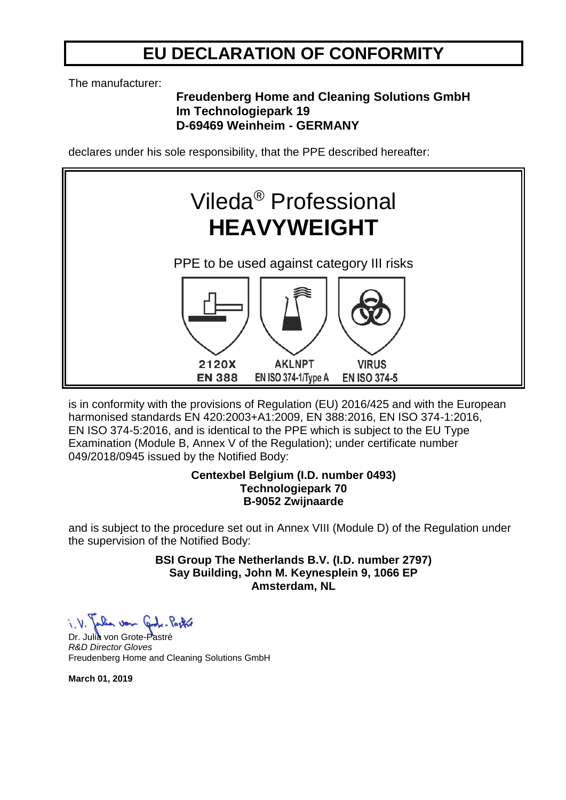## **EU DECLARATION OF CONFORMITY**

The manufacturer:

### **Freudenberg Home and Cleaning Solutions GmbH Im Technologiepark 19 D-69469 Weinheim - GERMANY**

declares under his sole responsibility, that the PPE described hereafter:



is in conformity with the provisions of Regulation (EU) 2016/425 and with the European harmonised standards EN 420:2003+A1:2009, EN 388:2016, EN ISO 374-1:2016, EN ISO 374-5:2016, and is identical to the PPE which is subject to the EU Type Examination (Module B, Annex V of the Regulation); under certificate number 049/2018/0945 issued by the Notified Body:

#### **Centexbel Belgium (I.D. number 0493) Technologiepark 70 B-9052 Zwijnaarde**

and is subject to the procedure set out in Annex VIII (Module D) of the Regulation under the supervision of the Notified Body:

> **BSI Group The Netherlands B.V. (I.D. number 2797) Say Building, John M. Keynesplein 9, 1066 EP Amsterdam, NL**

Dr. Julia von Grote-Pastré *R&D Director Gloves* Freudenberg Home and Cleaning Solutions GmbH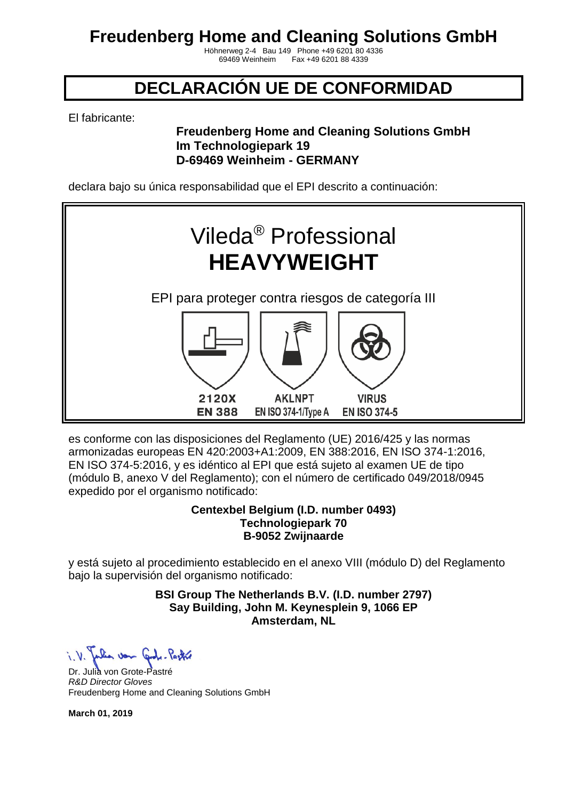Höhnerweg 2-4 Bau 149 Phone +49 6201 80 4336 Fax +49 6201 88 4339

## **DECLARACIÓN UE DE CONFORMIDAD**

El fabricante:

### **Freudenberg Home and Cleaning Solutions GmbH Im Technologiepark 19 D-69469 Weinheim - GERMANY**

declara bajo su única responsabilidad que el EPI descrito a continuación:



es conforme con las disposiciones del Reglamento (UE) 2016/425 y las normas armonizadas europeas EN 420:2003+A1:2009, EN 388:2016, EN ISO 374-1:2016, EN ISO 374-5:2016, y es idéntico al EPI que está sujeto al examen UE de tipo (módulo B, anexo V del Reglamento); con el número de certificado 049/2018/0945 expedido por el organismo notificado:

#### **Centexbel Belgium (I.D. number 0493) Technologiepark 70 B-9052 Zwijnaarde**

y está sujeto al procedimiento establecido en el anexo VIII (módulo D) del Reglamento bajo la supervisión del organismo notificado:

> **BSI Group The Netherlands B.V. (I.D. number 2797) Say Building, John M. Keynesplein 9, 1066 EP Amsterdam, NL**

Julia von Code-Partie

Dr. Julia von Grote-Pastré *R&D Director Gloves* Freudenberg Home and Cleaning Solutions GmbH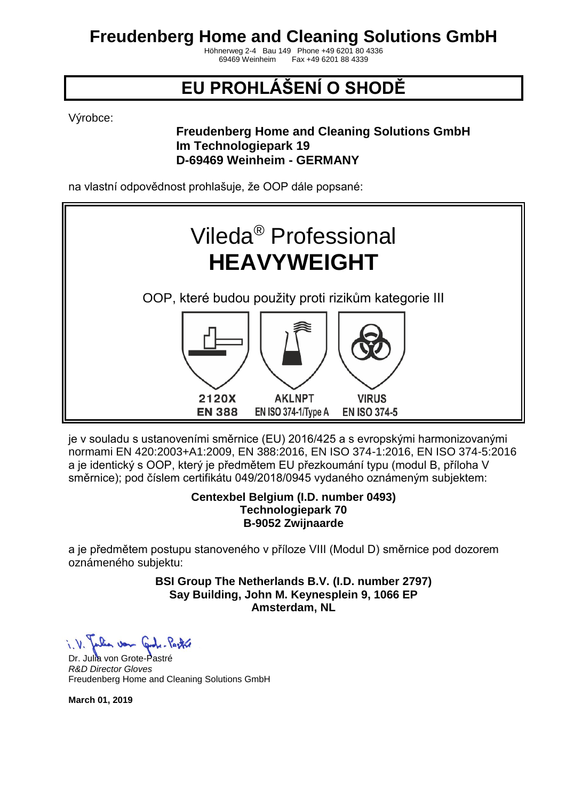Höhnerweg 2-4 Bau 149 Phone +49 6201 80 4336 Fax +49 6201 88 4339

# **EU PROHLÁŠENÍ O SHODĚ**

Výrobce:

### **Freudenberg Home and Cleaning Solutions GmbH Im Technologiepark 19 D-69469 Weinheim - GERMANY**

na vlastní odpovědnost prohlašuje, že OOP dále popsané:



je v souladu s ustanoveními směrnice (EU) 2016/425 a s evropskými harmonizovanými normami EN 420:2003+A1:2009, EN 388:2016, EN ISO 374-1:2016, EN ISO 374-5:2016 a je identický s OOP, který je předmětem EU přezkoumání typu (modul B, příloha V směrnice); pod číslem certifikátu 049/2018/0945 vydaného oznámeným subjektem:

#### **Centexbel Belgium (I.D. number 0493) Technologiepark 70 B-9052 Zwijnaarde**

a je předmětem postupu stanoveného v příloze VIII (Modul D) směrnice pod dozorem oznámeného subjektu:

> **BSI Group The Netherlands B.V. (I.D. number 2797) Say Building, John M. Keynesplein 9, 1066 EP Amsterdam, NL**

Dr. Julia von Grote-Pastré *R&D Director Gloves* Freudenberg Home and Cleaning Solutions GmbH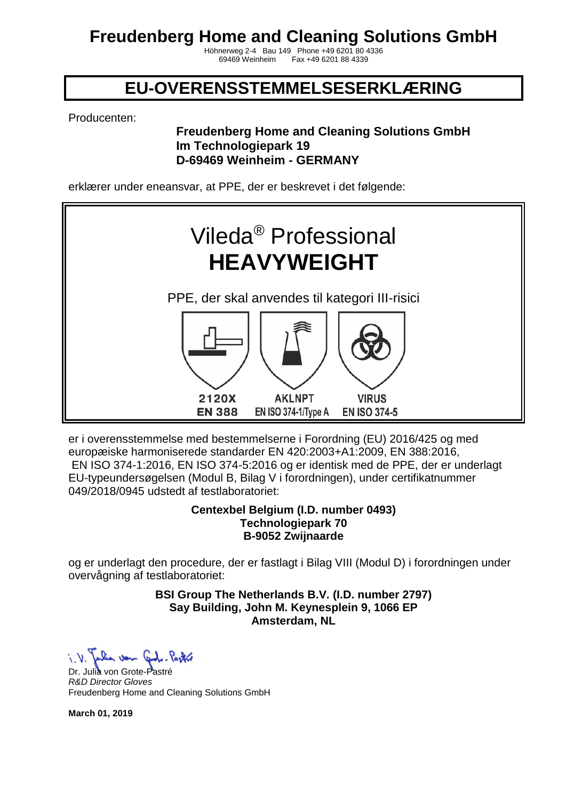Höhnerweg 2-4 Bau 149 Phone +49 6201 80 4336 Fax +49 6201 88 4339

### **EU-OVERENSSTEMMELSESERKLÆRING**

Producenten:

### **Freudenberg Home and Cleaning Solutions GmbH Im Technologiepark 19 D-69469 Weinheim - GERMANY**

erklærer under eneansvar, at PPE, der er beskrevet i det følgende:



er i overensstemmelse med bestemmelserne i Forordning (EU) 2016/425 og med europæiske harmoniserede standarder EN 420:2003+A1:2009, EN 388:2016, EN ISO 374-1:2016, EN ISO 374-5:2016 og er identisk med de PPE, der er underlagt EU-typeundersøgelsen (Modul B, Bilag V i forordningen), under certifikatnummer 049/2018/0945 udstedt af testlaboratoriet:

#### **Centexbel Belgium (I.D. number 0493) Technologiepark 70 B-9052 Zwijnaarde**

og er underlagt den procedure, der er fastlagt i Bilag VIII (Modul D) i forordningen under overvågning af testlaboratoriet:

> **BSI Group The Netherlands B.V. (I.D. number 2797) Say Building, John M. Keynesplein 9, 1066 EP Amsterdam, NL**

Julia von Code-Pastre

Dr. Julia von Grote-Pastré *R&D Director Gloves* Freudenberg Home and Cleaning Solutions GmbH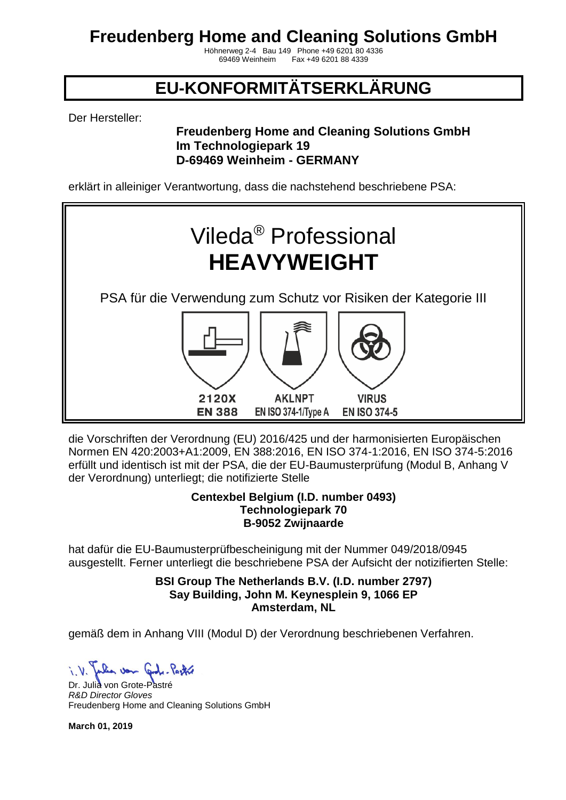Höhnerweg 2-4 Bau 149 Phone +49 6201 80 4336 Fax +49 6201 88 4339

## **EU-KONFORMITÄTSERKLÄRUNG**

Der Hersteller:

### **Freudenberg Home and Cleaning Solutions GmbH Im Technologiepark 19 D-69469 Weinheim - GERMANY**

erklärt in alleiniger Verantwortung, dass die nachstehend beschriebene PSA:



die Vorschriften der Verordnung (EU) 2016/425 und der harmonisierten Europäischen Normen EN 420:2003+A1:2009, EN 388:2016, EN ISO 374-1:2016, EN ISO 374-5:2016 erfüllt und identisch ist mit der PSA, die der EU-Baumusterprüfung (Modul B, Anhang V der Verordnung) unterliegt; die notifizierte Stelle

#### **Centexbel Belgium (I.D. number 0493) Technologiepark 70 B-9052 Zwijnaarde**

hat dafür die EU-Baumusterprüfbescheinigung mit der Nummer 049/2018/0945 ausgestellt. Ferner unterliegt die beschriebene PSA der Aufsicht der notizifierten Stelle:

> **BSI Group The Netherlands B.V. (I.D. number 2797) Say Building, John M. Keynesplein 9, 1066 EP Amsterdam, NL**

gemäß dem in Anhang VIII (Modul D) der Verordnung beschriebenen Verfahren.

Julia von Cont. Partie

Dr. Julia von Grote-Pastré *R&D Director Gloves* Freudenberg Home and Cleaning Solutions GmbH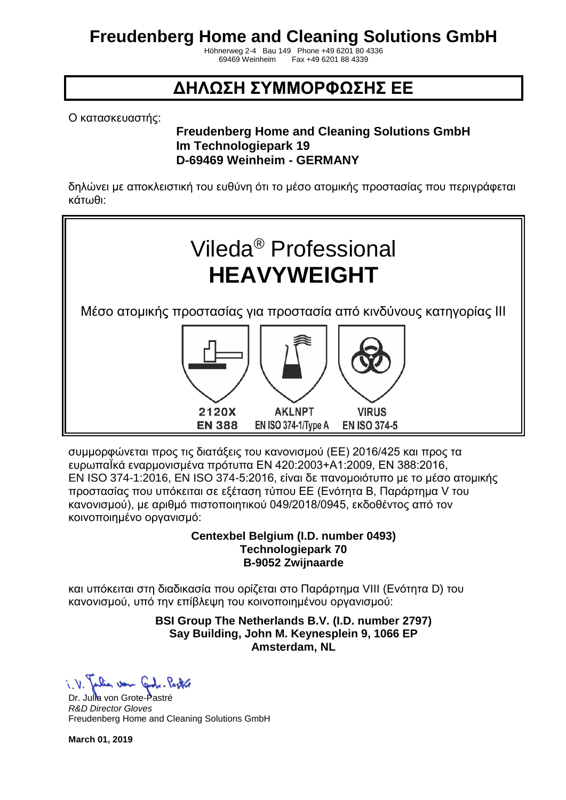Höhnerweg 2-4 Bau 149 Phone +49 6201 80 4336 Fax +49 6201 88 4339

### **ΔΗΛΩΣΗ ΣΥΜΜΟΡΦΩΣΗΣ ΕΕ**

Ο κατασκευαστής:

### **Freudenberg Home and Cleaning Solutions GmbH Im Technologiepark 19 D-69469 Weinheim - GERMANY**

δηλώνει με αποκλειστική του ευθύνη ότι το μέσο ατομικής προστασίας που περιγράφεται κάτωθι:



συμμορφώνεται προς τις διατάξεις του κανονισμού (ΕΕ) 2016/425 και προς τα ευρωπαΪκά εναρμονισμένα πρότυπα EN 420:2003+A1:2009, EN 388:2016, EN ISO 374-1:2016, EN ISO 374-5:2016, είναι δε πανομοιότυπο με το μέσο ατομικής προστασίας που υπόκειται σε εξέταση τύπου ΕΕ (Ενότητα Β, Παράρτημα V του κανονισμού), με αριθμό πιστοποιητικού 049/2018/0945, εκδοθέντος από τον κοινοποιημένο οργανισμό:

### **Centexbel Belgium (I.D. number 0493) Technologiepark 70 B-9052 Zwijnaarde**

και υπόκειται στη διαδικασία που ορίζεται στο Παράρτημα VIII (Ενότητα D) του κανονισμού, υπό την επίβλεψη του κοινοποιημένου οργανισμού:

### **BSI Group The Netherlands B.V. (I.D. number 2797) Say Building, John M. Keynesplein 9, 1066 EP Amsterdam, NL**

Dr. Julia von Grote-Pastré *R&D Director Gloves* Freudenberg Home and Cleaning Solutions GmbH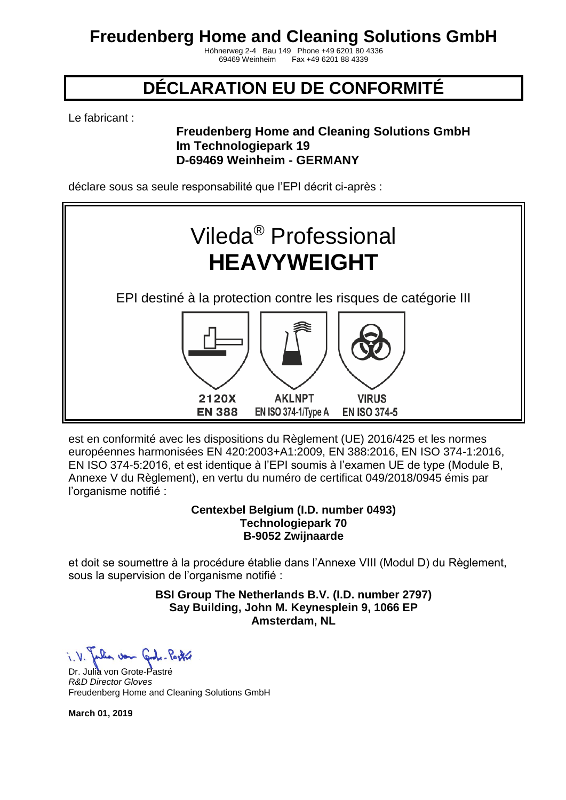Höhnerweg 2-4 Bau 149 Phone +49 6201 80 4336 Fax +49 6201 88 4339

## **DÉCLARATION EU DE CONFORMITÉ**

Le fabricant :

### **Freudenberg Home and Cleaning Solutions GmbH Im Technologiepark 19 D-69469 Weinheim - GERMANY**

déclare sous sa seule responsabilité que l'EPI décrit ci-après :



est en conformité avec les dispositions du Règlement (UE) 2016/425 et les normes européennes harmonisées EN 420:2003+A1:2009, EN 388:2016, EN ISO 374-1:2016, EN ISO 374-5:2016, et est identique à l'EPI soumis à l'examen UE de type (Module B, Annexe V du Règlement), en vertu du numéro de certificat 049/2018/0945 émis par l'organisme notifié :

#### **Centexbel Belgium (I.D. number 0493) Technologiepark 70 B-9052 Zwijnaarde**

et doit se soumettre à la procédure établie dans l'Annexe VIII (Modul D) du Règlement, sous la supervision de l'organisme notifié :

> **BSI Group The Netherlands B.V. (I.D. number 2797) Say Building, John M. Keynesplein 9, 1066 EP Amsterdam, NL**

Julian von Code-Partie

Dr. Julia von Grote-Pastré *R&D Director Gloves* Freudenberg Home and Cleaning Solutions GmbH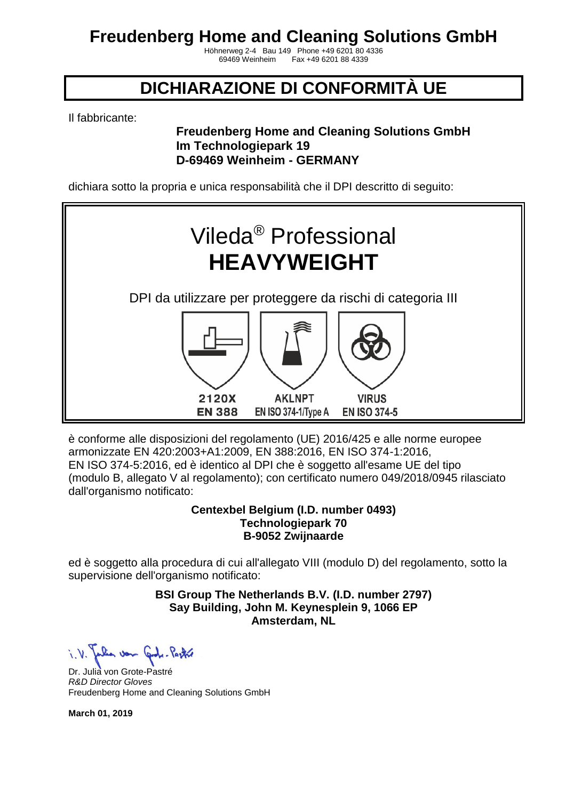Höhnerweg 2-4 Bau 149 Phone +49 6201 80 4336 Fax +49 6201 88 4339

### **DICHIARAZIONE DI CONFORMITÀ UE**

Il fabbricante:

### **Freudenberg Home and Cleaning Solutions GmbH Im Technologiepark 19 D-69469 Weinheim - GERMANY**

dichiara sotto la propria e unica responsabilità che il DPI descritto di seguito:



è conforme alle disposizioni del regolamento (UE) 2016/425 e alle norme europee armonizzate EN 420:2003+A1:2009, EN 388:2016, EN ISO 374-1:2016, EN ISO 374-5:2016, ed è identico al DPI che è soggetto all'esame UE del tipo (modulo B, allegato V al regolamento); con certificato numero 049/2018/0945 rilasciato dall'organismo notificato:

#### **Centexbel Belgium (I.D. number 0493) Technologiepark 70 B-9052 Zwijnaarde**

ed è soggetto alla procedura di cui all'allegato VIII (modulo D) del regolamento, sotto la supervisione dell'organismo notificato:

> **BSI Group The Netherlands B.V. (I.D. number 2797) Say Building, John M. Keynesplein 9, 1066 EP Amsterdam, NL**

Julia von Grobe-Pastre

Dr. Julia von Grote-Pastré *R&D Director Gloves* Freudenberg Home and Cleaning Solutions GmbH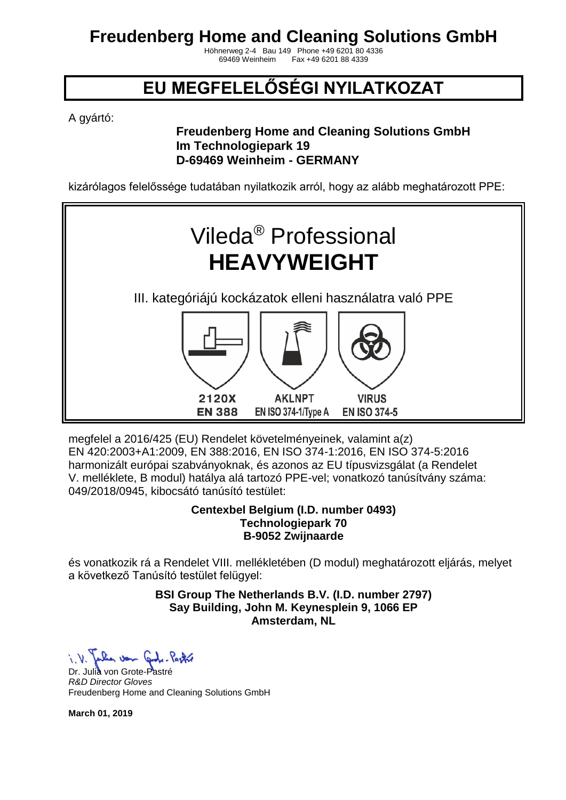Höhnerweg 2-4 Bau 149 Phone +49 6201 80 4336 Fax +49 6201 88 4339

## **EU MEGFELELŐSÉGI NYILATKOZAT**

A gyártó:

### **Freudenberg Home and Cleaning Solutions GmbH Im Technologiepark 19 D-69469 Weinheim - GERMANY**

kizárólagos felelőssége tudatában nyilatkozik arról, hogy az alább meghatározott PPE:



megfelel a 2016/425 (EU) Rendelet követelményeinek, valamint a(z) EN 420:2003+A1:2009, EN 388:2016, EN ISO 374-1:2016, EN ISO 374-5:2016 harmonizált európai szabványoknak, és azonos az EU típusvizsgálat (a Rendelet V. melléklete, B modul) hatálya alá tartozó PPE-vel; vonatkozó tanúsítvány száma: 049/2018/0945, kibocsátó tanúsító testület:

#### **Centexbel Belgium (I.D. number 0493) Technologiepark 70 B-9052 Zwijnaarde**

és vonatkozik rá a Rendelet VIII. mellékletében (D modul) meghatározott eljárás, melyet a következő Tanúsító testület felügyel:

> **BSI Group The Netherlands B.V. (I.D. number 2797) Say Building, John M. Keynesplein 9, 1066 EP Amsterdam, NL**

When von Code-Partie

Dr. Julia von Grote-Pastré *R&D Director Gloves* Freudenberg Home and Cleaning Solutions GmbH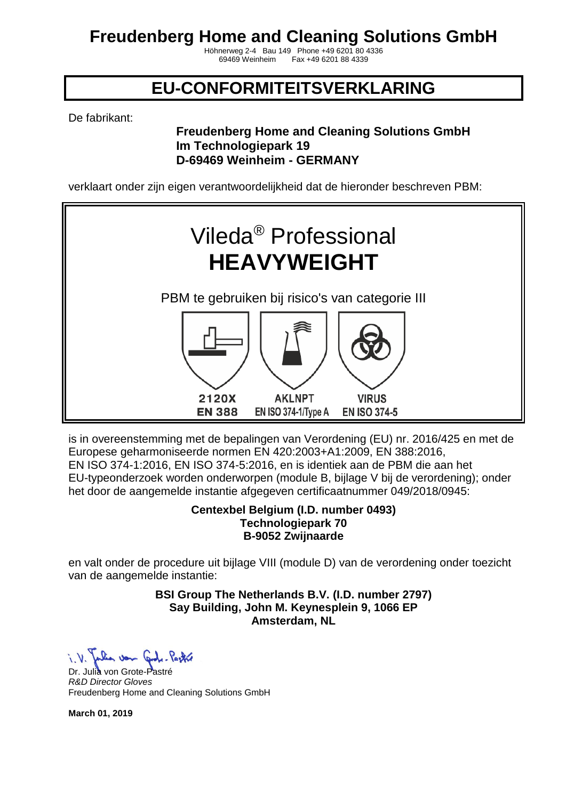Höhnerweg 2-4 Bau 149 Phone +49 6201 80 4336 Fax +49 6201 88 4339

### **EU-CONFORMITEITSVERKLARING**

De fabrikant:

### **Freudenberg Home and Cleaning Solutions GmbH Im Technologiepark 19 D-69469 Weinheim - GERMANY**

verklaart onder zijn eigen verantwoordelijkheid dat de hieronder beschreven PBM:



is in overeenstemming met de bepalingen van Verordening (EU) nr. 2016/425 en met de Europese geharmoniseerde normen EN 420:2003+A1:2009, EN 388:2016, EN ISO 374-1:2016, EN ISO 374-5:2016, en is identiek aan de PBM die aan het EU-typeonderzoek worden onderworpen (module B, bijlage V bij de verordening); onder het door de aangemelde instantie afgegeven certificaatnummer 049/2018/0945:

#### **Centexbel Belgium (I.D. number 0493) Technologiepark 70 B-9052 Zwijnaarde**

en valt onder de procedure uit bijlage VIII (module D) van de verordening onder toezicht van de aangemelde instantie:

> **BSI Group The Netherlands B.V. (I.D. number 2797) Say Building, John M. Keynesplein 9, 1066 EP Amsterdam, NL**

Julia von Code-Pectre

Dr. Julia von Grote-Pastré *R&D Director Gloves* Freudenberg Home and Cleaning Solutions GmbH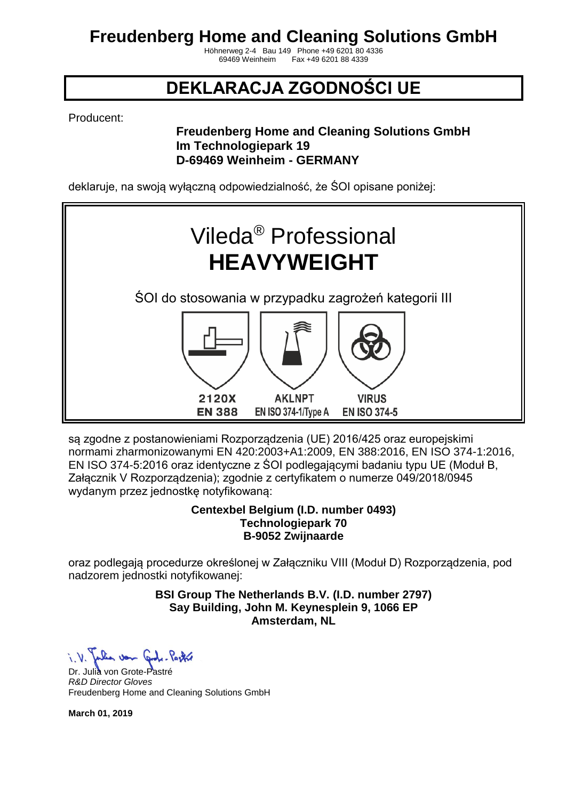Höhnerweg 2-4 Bau 149 Phone +49 6201 80 4336 Fax +49 6201 88 4339

## **DEKLARACJA ZGODNOŚCI UE**

Producent:

### **Freudenberg Home and Cleaning Solutions GmbH Im Technologiepark 19 D-69469 Weinheim - GERMANY**

deklaruje, na swoją wyłączną odpowiedzialność, że ŚOI opisane poniżej:



są zgodne z postanowieniami Rozporządzenia (UE) 2016/425 oraz europejskimi normami zharmonizowanymi EN 420:2003+A1:2009, EN 388:2016, EN ISO 374-1:2016, EN ISO 374-5:2016 oraz identyczne z ŚOI podlegającymi badaniu typu UE (Moduł B, Załącznik V Rozporządzenia); zgodnie z certyfikatem o numerze 049/2018/0945 wydanym przez jednostkę notyfikowaną:

#### **Centexbel Belgium (I.D. number 0493) Technologiepark 70 B-9052 Zwijnaarde**

oraz podlegają procedurze określonej w Załączniku VIII (Moduł D) Rozporządzenia, pod nadzorem jednostki notyfikowanej:

> **BSI Group The Netherlands B.V. (I.D. number 2797) Say Building, John M. Keynesplein 9, 1066 EP Amsterdam, NL**

i. V. Julia von Code-Partie

Dr. Julia von Grote-Pastré *R&D Director Gloves* Freudenberg Home and Cleaning Solutions GmbH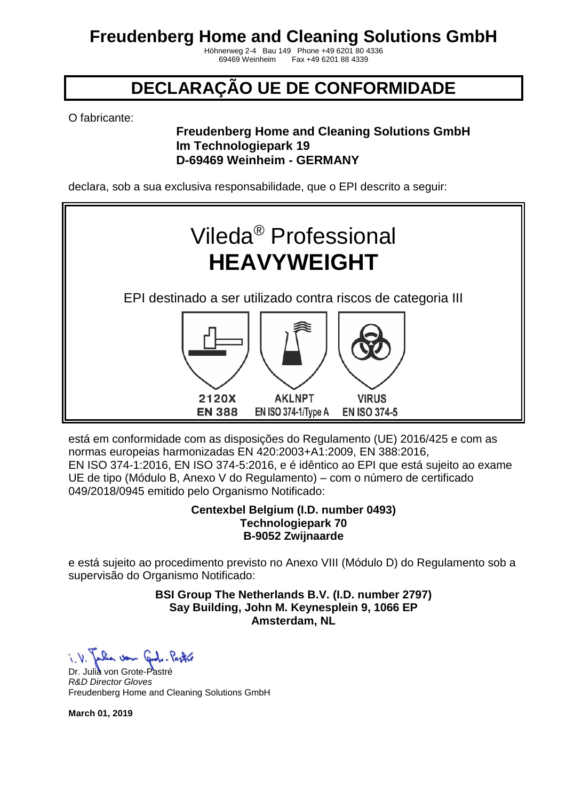Höhnerweg 2-4 Bau 149 Phone +49 6201 80 4336 Fax +49 6201 88 4339

## **DECLARAÇÃO UE DE CONFORMIDADE**

O fabricante:

### **Freudenberg Home and Cleaning Solutions GmbH Im Technologiepark 19 D-69469 Weinheim - GERMANY**

declara, sob a sua exclusiva responsabilidade, que o EPI descrito a seguir:



está em conformidade com as disposições do Regulamento (UE) 2016/425 e com as normas europeias harmonizadas EN 420:2003+A1:2009, EN 388:2016, EN ISO 374-1:2016, EN ISO 374-5:2016, e é idêntico ao EPI que está sujeito ao exame UE de tipo (Módulo B, Anexo V do Regulamento) – com o número de certificado 049/2018/0945 emitido pelo Organismo Notificado:

#### **Centexbel Belgium (I.D. number 0493) Technologiepark 70 B-9052 Zwijnaarde**

e está sujeito ao procedimento previsto no Anexo VIII (Módulo D) do Regulamento sob a supervisão do Organismo Notificado:

> **BSI Group The Netherlands B.V. (I.D. number 2797) Say Building, John M. Keynesplein 9, 1066 EP Amsterdam, NL**

When von Code-Partie

Dr. Julia von Grote-Pastré *R&D Director Gloves* Freudenberg Home and Cleaning Solutions GmbH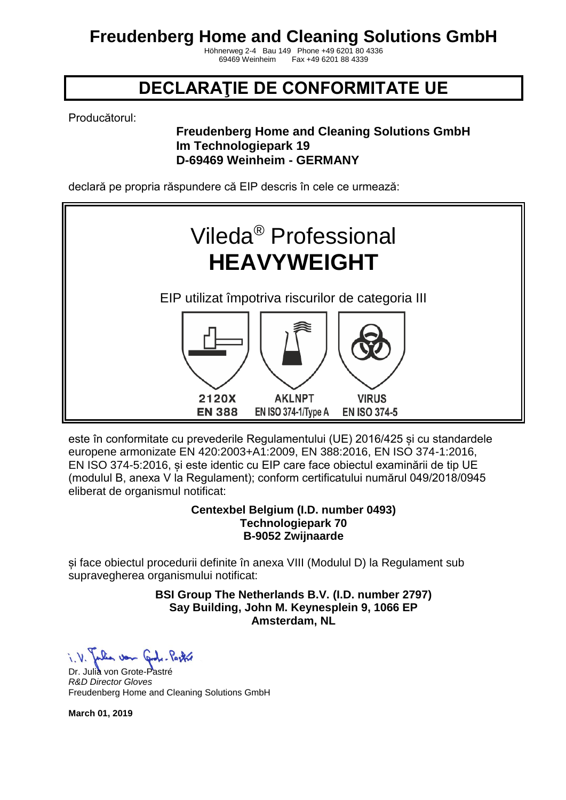Höhnerweg 2-4 Bau 149 Phone +49 6201 80 4336 Fax +49 6201 88 4339

### **DECLARAŢIE DE CONFORMITATE UE**

Producătorul:

### **Freudenberg Home and Cleaning Solutions GmbH Im Technologiepark 19 D-69469 Weinheim - GERMANY**

declară pe propria răspundere că EIP descris în cele ce urmează:



este în conformitate cu prevederile Regulamentului (UE) 2016/425 și cu standardele europene armonizate EN 420:2003+A1:2009, EN 388:2016, EN ISO 374-1:2016, EN ISO 374-5:2016, și este identic cu EIP care face obiectul examinării de tip UE (modulul B, anexa V la Regulament); conform certificatului numărul 049/2018/0945 eliberat de organismul notificat:

#### **Centexbel Belgium (I.D. number 0493) Technologiepark 70 B-9052 Zwijnaarde**

și face obiectul procedurii definite în anexa VIII (Modulul D) la Regulament sub supravegherea organismului notificat:

> **BSI Group The Netherlands B.V. (I.D. number 2797) Say Building, John M. Keynesplein 9, 1066 EP Amsterdam, NL**

 $\sqrt{2}$ Julia von Code-Pastre

Dr. Julia von Grote-Pastré *R&D Director Gloves* Freudenberg Home and Cleaning Solutions GmbH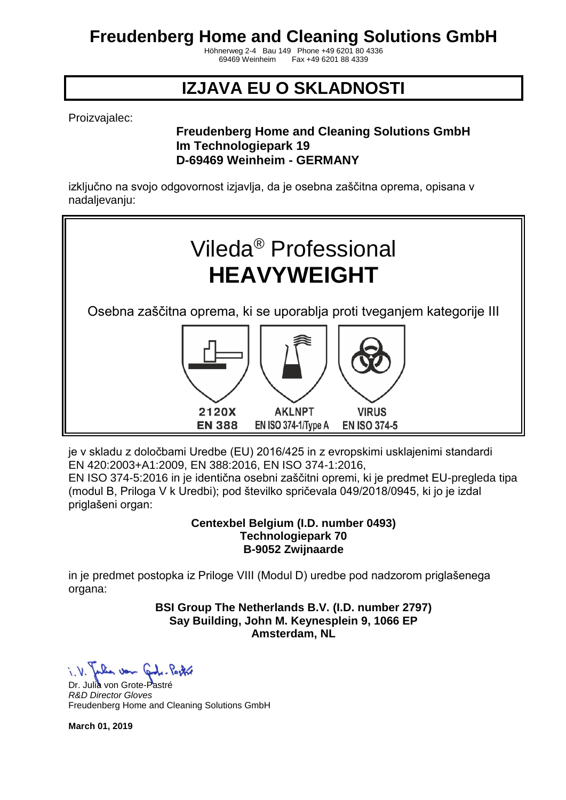Höhnerweg 2-4 Bau 149 Phone +49 6201 80 4336 Fax +49 6201 88 4339

## **IZJAVA EU O SKLADNOSTI**

Proizvajalec:

### **Freudenberg Home and Cleaning Solutions GmbH Im Technologiepark 19 D-69469 Weinheim - GERMANY**

izključno na svojo odgovornost izjavlja, da je osebna zaščitna oprema, opisana v nadaljevanju:



je v skladu z določbami Uredbe (EU) 2016/425 in z evropskimi usklajenimi standardi EN 420:2003+A1:2009, EN 388:2016, EN ISO 374-1:2016,

EN ISO 374-5:2016 in je identična osebni zaščitni opremi, ki je predmet EU-pregleda tipa (modul B, Priloga V k Uredbi); pod številko spričevala 049/2018/0945, ki jo je izdal priglašeni organ:

> **Centexbel Belgium (I.D. number 0493) Technologiepark 70 B-9052 Zwijnaarde**

in je predmet postopka iz Priloge VIII (Modul D) uredbe pod nadzorom priglašenega organa:

#### **BSI Group The Netherlands B.V. (I.D. number 2797) Say Building, John M. Keynesplein 9, 1066 EP Amsterdam, NL**

when von God

Dr. Julia von Grote-Pastré *R&D Director Gloves* Freudenberg Home and Cleaning Solutions GmbH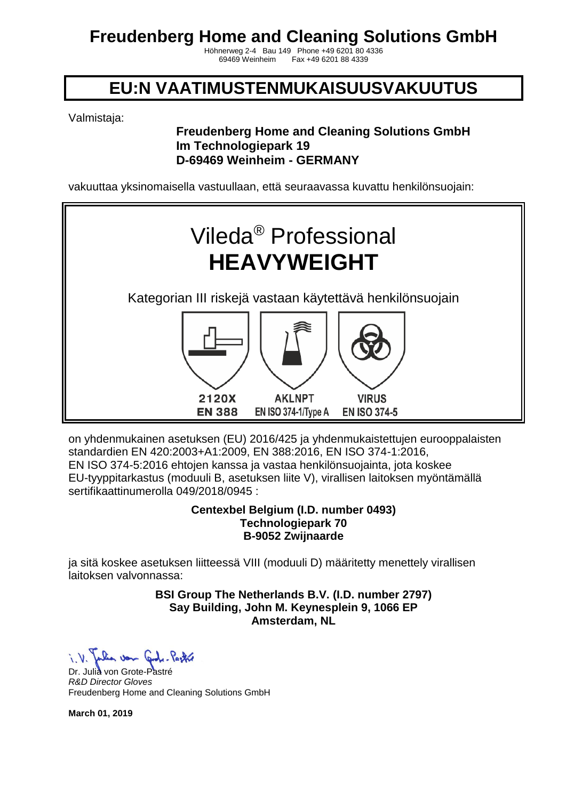Höhnerweg 2-4 Bau 149 Phone +49 6201 80 4336 Fax +49 6201 88 4339

### **EU:N VAATIMUSTENMUKAISUUSVAKUUTUS**

Valmistaja:

### **Freudenberg Home and Cleaning Solutions GmbH Im Technologiepark 19 D-69469 Weinheim - GERMANY**

vakuuttaa yksinomaisella vastuullaan, että seuraavassa kuvattu henkilönsuojain:



on yhdenmukainen asetuksen (EU) 2016/425 ja yhdenmukaistettujen eurooppalaisten standardien EN 420:2003+A1:2009, EN 388:2016, EN ISO 374-1:2016, EN ISO 374-5:2016 ehtojen kanssa ja vastaa henkilönsuojainta, jota koskee EU-tyyppitarkastus (moduuli B, asetuksen liite V), virallisen laitoksen myöntämällä sertifikaattinumerolla 049/2018/0945 :

#### **Centexbel Belgium (I.D. number 0493) Technologiepark 70 B-9052 Zwijnaarde**

ja sitä koskee asetuksen liitteessä VIII (moduuli D) määritetty menettely virallisen laitoksen valvonnassa:

> **BSI Group The Netherlands B.V. (I.D. number 2797) Say Building, John M. Keynesplein 9, 1066 EP Amsterdam, NL**

a von Cont. Porter

Dr. Julia von Grote-Pastré *R&D Director Gloves* Freudenberg Home and Cleaning Solutions GmbH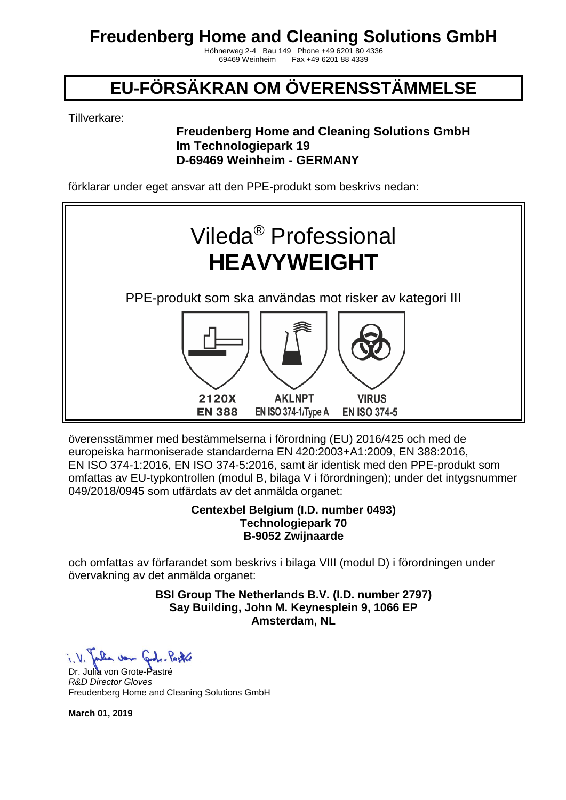Höhnerweg 2-4 Bau 149 Phone +49 6201 80 4336 Fax +49 6201 88 4339

# **EU-FÖRSÄKRAN OM ÖVERENSSTÄMMELSE**

Tillverkare:

### **Freudenberg Home and Cleaning Solutions GmbH Im Technologiepark 19 D-69469 Weinheim - GERMANY**

förklarar under eget ansvar att den PPE-produkt som beskrivs nedan:



överensstämmer med bestämmelserna i förordning (EU) 2016/425 och med de europeiska harmoniserade standarderna EN 420:2003+A1:2009, EN 388:2016, EN ISO 374-1:2016, EN ISO 374-5:2016, samt är identisk med den PPE-produkt som omfattas av EU-typkontrollen (modul B, bilaga V i förordningen); under det intygsnummer 049/2018/0945 som utfärdats av det anmälda organet:

#### **Centexbel Belgium (I.D. number 0493) Technologiepark 70 B-9052 Zwijnaarde**

och omfattas av förfarandet som beskrivs i bilaga VIII (modul D) i förordningen under övervakning av det anmälda organet:

> **BSI Group The Netherlands B.V. (I.D. number 2797) Say Building, John M. Keynesplein 9, 1066 EP Amsterdam, NL**

When von Card, Partir

Dr. Julia von Grote-Pastré *R&D Director Gloves* Freudenberg Home and Cleaning Solutions GmbH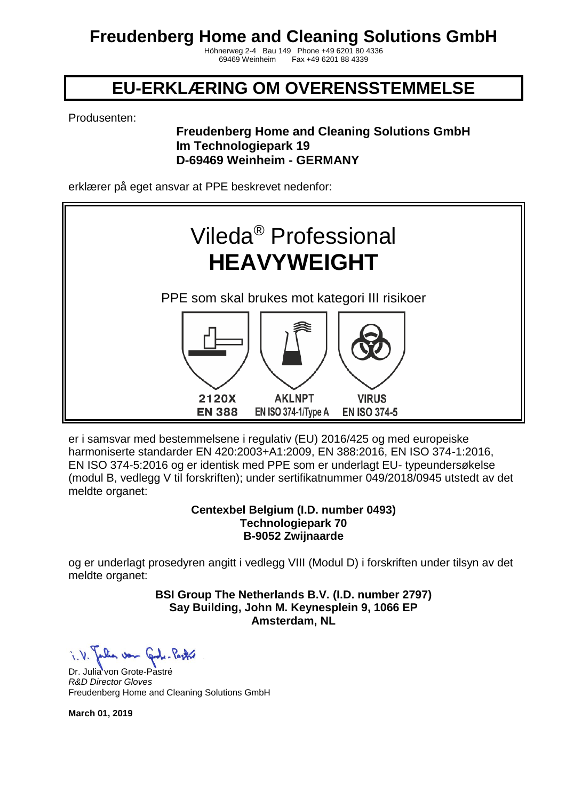Höhnerweg 2-4 Bau 149 Phone +49 6201 80 4336 Fax +49 6201 88 4339

### **EU-ERKLÆRING OM OVERENSSTEMMELSE**

Produsenten:

### **Freudenberg Home and Cleaning Solutions GmbH Im Technologiepark 19 D-69469 Weinheim - GERMANY**

erklærer på eget ansvar at PPE beskrevet nedenfor:



er i samsvar med bestemmelsene i regulativ (EU) 2016/425 og med europeiske harmoniserte standarder EN 420:2003+A1:2009, EN 388:2016, EN ISO 374-1:2016, EN ISO 374-5:2016 og er identisk med PPE som er underlagt EU- typeundersøkelse (modul B, vedlegg V til forskriften); under sertifikatnummer 049/2018/0945 utstedt av det meldte organet:

#### **Centexbel Belgium (I.D. number 0493) Technologiepark 70 B-9052 Zwijnaarde**

og er underlagt prosedyren angitt i vedlegg VIII (Modul D) i forskriften under tilsyn av det meldte organet:

> **BSI Group The Netherlands B.V. (I.D. number 2797) Say Building, John M. Keynesplein 9, 1066 EP Amsterdam, NL**

a von Grote-Pastre

Dr. Julia von Grote-Pastré *R&D Director Gloves* Freudenberg Home and Cleaning Solutions GmbH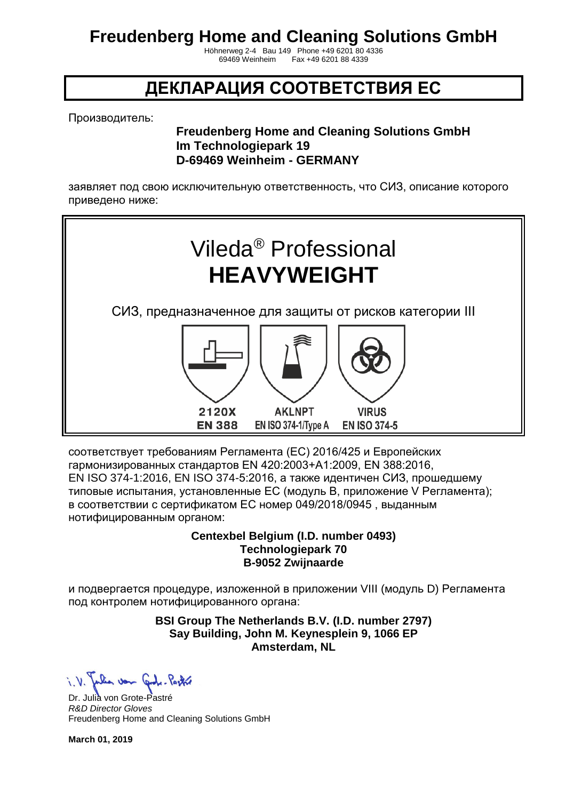Höhnerweg 2-4 Bau 149 Phone +49 6201 80 4336 Fax +49 6201 88 4339

### **ДЕКЛАРАЦИЯ СООТВЕТСТВИЯ ЕС**

Производитель:

### **Freudenberg Home and Cleaning Solutions GmbH Im Technologiepark 19 D-69469 Weinheim - GERMANY**

заявляет под свою исключительную ответственность, что СИЗ, описание которого приведено ниже:



соответствует требованиям Регламента (ЕС) 2016/425 и Европейских гармонизированных стандартов EN 420:2003+A1:2009, EN 388:2016, EN ISO 374-1:2016, EN ISO 374-5:2016, а также идентичен СИЗ, прошедшему типовые испытания, установленные ЕС (модуль B, приложение V Регламента); в соответствии с сертификатом ЕС номер 049/2018/0945 , выданным нотифицированным органом:

#### **Centexbel Belgium (I.D. number 0493) Technologiepark 70 B-9052 Zwijnaarde**

и подвергается процедуре, изложенной в приложении VIII (модуль D) Регламента под контролем нотифицированного органа:

#### **BSI Group The Netherlands B.V. (I.D. number 2797) Say Building, John M. Keynesplein 9, 1066 EP Amsterdam, NL**

Dr. Julia von Grote-Pastré *R&D Director Gloves* Freudenberg Home and Cleaning Solutions GmbH